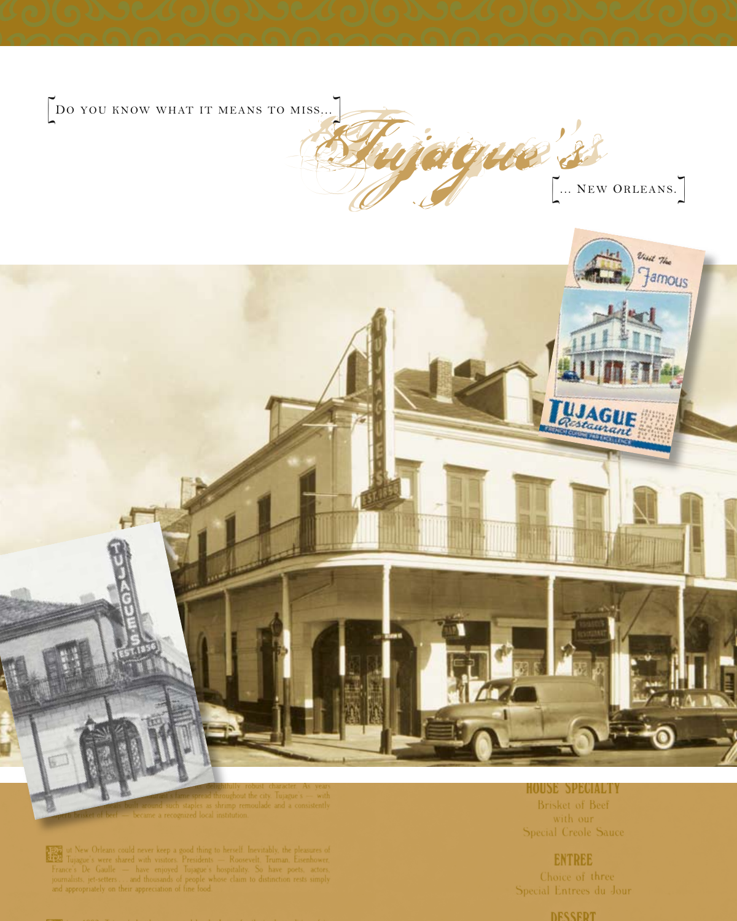DO YOU KNOW WHAT IT MEANS TO MISS,..

GLEE S



 $\overline{\mathbb{Z}_2^n}$ ut New Orleans could never keep a good thing to herself. Inevitably, the pleasures of Tujague's were shared with visitors. Presidents — Roosevelt, Truman, Eisenhower, France's De Gaulle — have enjoyed Tujagu 圈

**HOUSE SPECIALTY** Brisket of Beef Special Creole Sauce

**ENTREE** 

Choice of three Special Entrees du Jour

**DESSEDT**